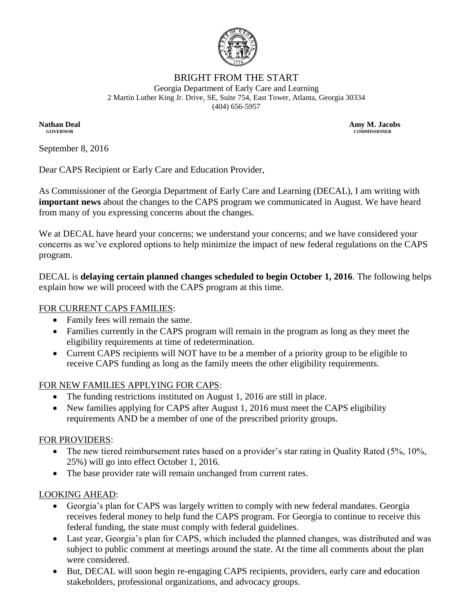

### BRIGHT FROM THE START

Georgia Department of Early Care and Learning 2 Martin Luther King Jr. Drive, SE, Suite 754, East Tower, Atlanta, Georgia 30334 (404) 656-5957

**Nathan Deal Amy M. Jacobs Amy M. Jacobs Amy M. Jacobs GOVERNOR COMMISSIONER**

September 8, 2016

Dear CAPS Recipient or Early Care and Education Provider,

As Commissioner of the Georgia Department of Early Care and Learning (DECAL), I am writing with **important news** about the changes to the CAPS program we communicated in August. We have heard from many of you expressing concerns about the changes.

We at DECAL have heard your concerns; we understand your concerns; and we have considered your concerns as we've explored options to help minimize the impact of new federal regulations on the CAPS program.

DECAL is **delaying certain planned changes scheduled to begin October 1, 2016**. The following helps explain how we will proceed with the CAPS program at this time.

### FOR CURRENT CAPS FAMILIES:

- Family fees will remain the same.
- Families currently in the CAPS program will remain in the program as long as they meet the eligibility requirements at time of redetermination.
- Current CAPS recipients will NOT have to be a member of a priority group to be eligible to receive CAPS funding as long as the family meets the other eligibility requirements.

# FOR NEW FAMILIES APPLYING FOR CAPS:

- The funding restrictions instituted on August 1, 2016 are still in place.
- New families applying for CAPS after August 1, 2016 must meet the CAPS eligibility requirements AND be a member of one of the prescribed priority groups.

# FOR PROVIDERS:

- The new tiered reimbursement rates based on a provider's star rating in Quality Rated (5%, 10%, 25%) will go into effect October 1, 2016.
- The base provider rate will remain unchanged from current rates.

# LOOKING AHEAD:

- Georgia's plan for CAPS was largely written to comply with new federal mandates. Georgia receives federal money to help fund the CAPS program. For Georgia to continue to receive this federal funding, the state must comply with federal guidelines.
- Last year, Georgia's plan for CAPS, which included the planned changes, was distributed and was subject to public comment at meetings around the state. At the time all comments about the plan were considered.
- But, DECAL will soon begin re-engaging CAPS recipients, providers, early care and education stakeholders, professional organizations, and advocacy groups.